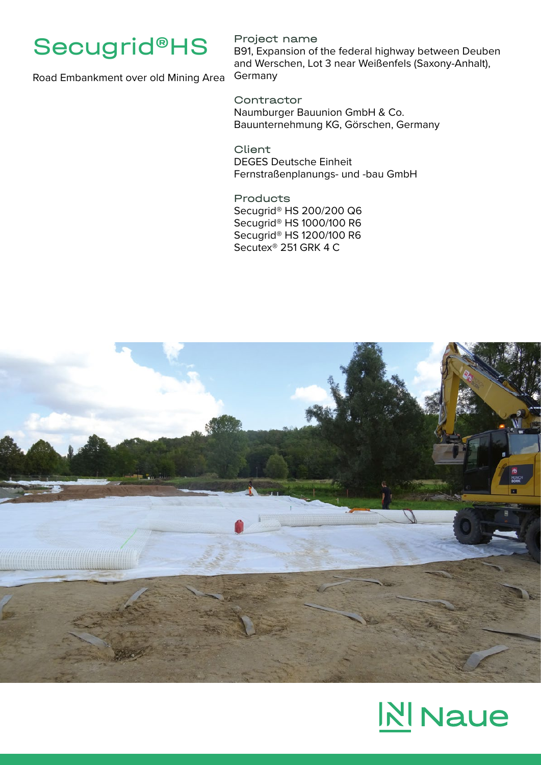

## Project name

B91, Expansion of the federal highway between Deuben and Werschen, Lot 3 near Weißenfels (Saxony-Anhalt), Germany

Road Embankment over old Mining Area

**Contractor** Naumburger Bauunion GmbH & Co. Bauunternehmung KG, Görschen, Germany

Client DEGES Deutsche Einheit Fernstraßenplanungs- und -bau GmbH

Products Secugrid® HS 200/200 Q6 Secugrid® HS 1000/100 R6 Secugrid® HS 1200/100 R6 Secutex® 251 GRK 4 C



# **NINaue**